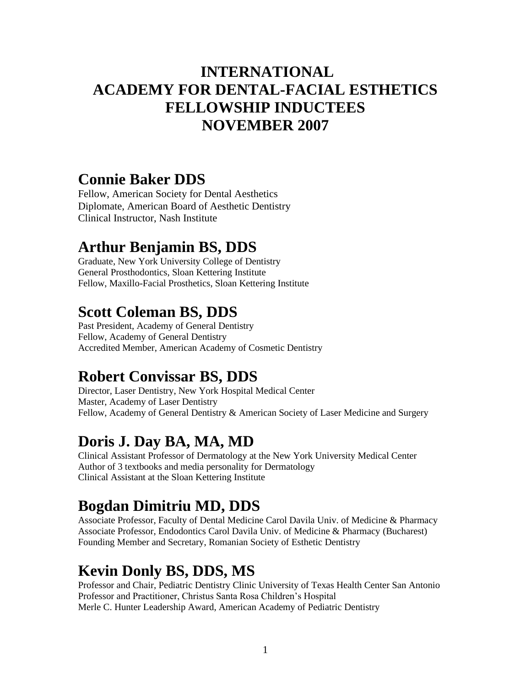#### **INTERNATIONAL ACADEMY FOR DENTAL-FACIAL ESTHETICS FELLOWSHIP INDUCTEES NOVEMBER 2007**

#### **Connie Baker DDS**

Fellow, American Society for Dental Aesthetics Diplomate, American Board of Aesthetic Dentistry Clinical Instructor, Nash Institute

#### **Arthur Benjamin BS, DDS**

Graduate, New York University College of Dentistry General Prosthodontics, Sloan Kettering Institute Fellow, Maxillo-Facial Prosthetics, Sloan Kettering Institute

## **Scott Coleman BS, DDS**

Past President, Academy of General Dentistry Fellow, Academy of General Dentistry Accredited Member, American Academy of Cosmetic Dentistry

#### **Robert Convissar BS, DDS**

Director, Laser Dentistry, New York Hospital Medical Center Master, Academy of Laser Dentistry Fellow, Academy of General Dentistry & American Society of Laser Medicine and Surgery

# **Doris J. Day BA, MA, MD**

Clinical Assistant Professor of Dermatology at the New York University Medical Center Author of 3 textbooks and media personality for Dermatology Clinical Assistant at the Sloan Kettering Institute

# **Bogdan Dimitriu MD, DDS**

Associate Professor, Faculty of Dental Medicine Carol Davila Univ. of Medicine & Pharmacy Associate Professor, Endodontics Carol Davila Univ. of Medicine & Pharmacy (Bucharest) Founding Member and Secretary, Romanian Society of Esthetic Dentistry

### **Kevin Donly BS, DDS, MS**

Professor and Chair, Pediatric Dentistry Clinic University of Texas Health Center San Antonio Professor and Practitioner, Christus Santa Rosa Children's Hospital Merle C. Hunter Leadership Award, American Academy of Pediatric Dentistry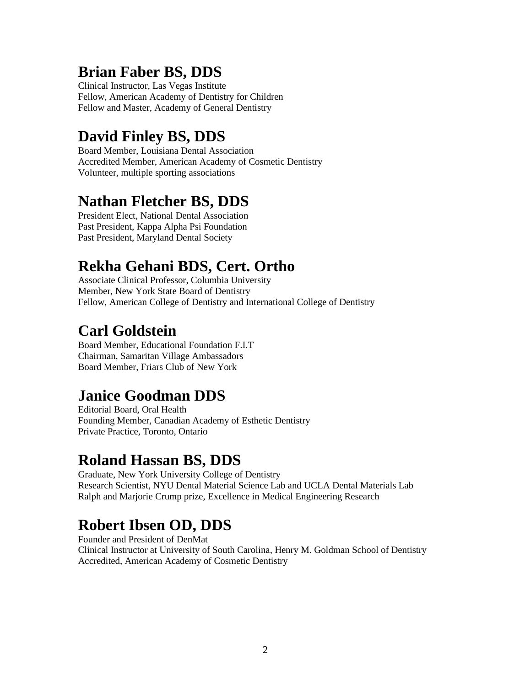## **Brian Faber BS, DDS**

Clinical Instructor, Las Vegas Institute Fellow, American Academy of Dentistry for Children Fellow and Master, Academy of General Dentistry

## **David Finley BS, DDS**

Board Member, Louisiana Dental Association Accredited Member, American Academy of Cosmetic Dentistry Volunteer, multiple sporting associations

### **Nathan Fletcher BS, DDS**

President Elect, National Dental Association Past President, Kappa Alpha Psi Foundation Past President, Maryland Dental Society

# **Rekha Gehani BDS, Cert. Ortho**

Associate Clinical Professor, Columbia University Member, New York State Board of Dentistry Fellow, American College of Dentistry and International College of Dentistry

### **Carl Goldstein**

Board Member, Educational Foundation F.I.T Chairman, Samaritan Village Ambassadors Board Member, Friars Club of New York

# **Janice Goodman DDS**

Editorial Board, Oral Health Founding Member, Canadian Academy of Esthetic Dentistry Private Practice, Toronto, Ontario

#### **Roland Hassan BS, DDS**

Graduate, New York University College of Dentistry Research Scientist, NYU Dental Material Science Lab and UCLA Dental Materials Lab Ralph and Marjorie Crump prize, Excellence in Medical Engineering Research

# **Robert Ibsen OD, DDS**

Founder and President of DenMat Clinical Instructor at University of South Carolina, Henry M. Goldman School of Dentistry Accredited, American Academy of Cosmetic Dentistry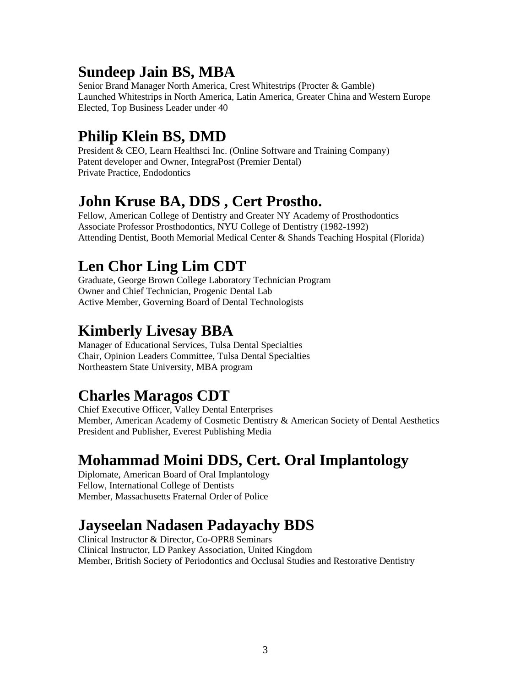## **Sundeep Jain BS, MBA**

Senior Brand Manager North America, Crest Whitestrips (Procter & Gamble) Launched Whitestrips in North America, Latin America, Greater China and Western Europe Elected, Top Business Leader under 40

## **Philip Klein BS, DMD**

President & CEO, Learn Healthsci Inc. (Online Software and Training Company) Patent developer and Owner, IntegraPost (Premier Dental) Private Practice, Endodontics

#### **John Kruse BA, DDS , Cert Prostho.**

Fellow, American College of Dentistry and Greater NY Academy of Prosthodontics Associate Professor Prosthodontics, NYU College of Dentistry (1982-1992) Attending Dentist, Booth Memorial Medical Center & Shands Teaching Hospital (Florida)

## **Len Chor Ling Lim CDT**

Graduate, George Brown College Laboratory Technician Program Owner and Chief Technician, Progenic Dental Lab Active Member, Governing Board of Dental Technologists

### **Kimberly Livesay BBA**

Manager of Educational Services, Tulsa Dental Specialties Chair, Opinion Leaders Committee, Tulsa Dental Specialties Northeastern State University, MBA program

# **Charles Maragos CDT**

Chief Executive Officer, Valley Dental Enterprises Member, American Academy of Cosmetic Dentistry & American Society of Dental Aesthetics President and Publisher, Everest Publishing Media

### **Mohammad Moini DDS, Cert. Oral Implantology**

Diplomate, American Board of Oral Implantology Fellow, International College of Dentists Member, Massachusetts Fraternal Order of Police

# **Jayseelan Nadasen Padayachy BDS**

Clinical Instructor & Director, Co-OPR8 Seminars Clinical Instructor, LD Pankey Association, United Kingdom Member, British Society of Periodontics and Occlusal Studies and Restorative Dentistry